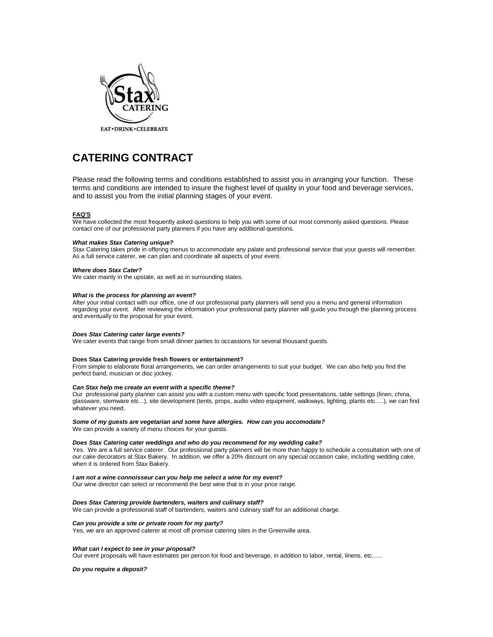

# **CATERING CONTRACT**

Please read the following terms and conditions established to assist you in arranging your function. These terms and conditions are intended to insure the highest level of quality in your food and beverage services, and to assist you from the initial planning stages of your event.

## **FAQ'S**

We have collected the most frequently asked questions to help you with some of our most commonly asked questions. Please contact one of our professional party planners if you have any additional questions.

#### *What makes Stax Catering unique?*

Stax Catering takes pride in offering menus to accommodate any palate and professional service that your guests will remember. As a full service caterer, we can plan and coordinate all aspects of your event.

## *Where does Stax Cater?*

We cater mainly in the upstate, as well as in surrounding states.

## *What is the process for planning an event?*

After your initial contact with our office, one of our professional party planners will send you a menu and general information regarding your event. After reviewing the information your professional party planner will guide you through the planning process and eventually to the proposal for your event.

## *Does Stax Catering cater large events?*

We cater events that range from small dinner parties to occassions for several thousand guests.

## **Does Stax Catering provide fresh flowers or entertainment?**

From simple to elaborate floral arrangements, we can order arrangements to suit your budget. We can also help you find the perfect band, musician or disc jockey.

### *Can Stax help me create an event with a specific theme?*

Our professional party planner can assist you with a custom menu with specific food presentations, table settings (linen, china, glassware, stemware etc...), site development (tents, props, audio video equipment, walkways, lighting, plants etc.....), we can find whatever you need.

#### *Some of my guests are vegetarian and some have allergies. How can you accomodate?*

We can provide a variety of menu choices for your guests.

## *Does Stax Catering cater weddings and who do you recommend for my wedding cake?*

Yes. We are a full service caterer. Our professional party planners will be more than happy to schedule a consultation with one of our cake decorators at Stax Bakery. In addition, we offer a 20% discount on any special occasion cake, including wedding cake, when it is ordered from Stax Bakery.

## *I am not a wine connoisseur can you help me select a wine for my event?*

Our wine director can select or recommend the best wine that is in your price range.

#### *Does Stax Catering provide bartenders, waiters and culinary staff?*

We can provide a professional staff of bartenders, waiters and culinary staff for an additional charge.

#### *Can you provide a site or private room for my party?*

Yes, we are an approved caterer at most off premise catering sites in the Greenville area.

### *What can I expect to see in your proposal?*

Our event proposals will have estimates per person for food and beverage, in addition to labor, rental, linens, etc......

*Do you require a deposit?*